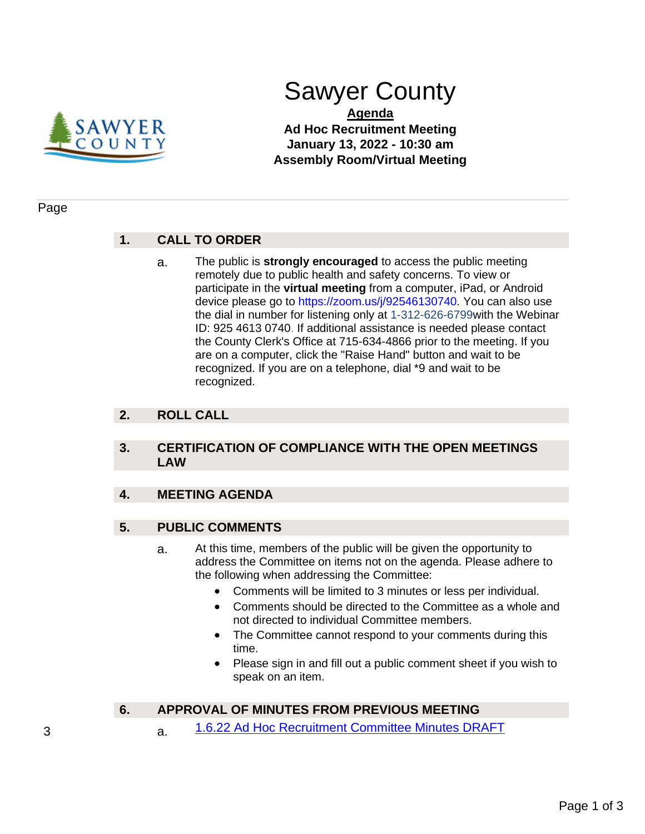

# Sawyer County

**Agenda Ad Hoc Recruitment Meeting January 13, 2022 - 10:30 am Assembly Room/Virtual Meeting**

#### Page

# **1. CALL TO ORDER**

a. The public is **strongly encouraged** to access the public meeting remotely due to public health and safety concerns. To view or participate in the **virtual meeting** from a computer, iPad, or Android device please go to https://zoom.us/j/92546130740. You can also use the dial in number for listening only at 1-312-626-6799with the Webinar ID: 925 4613 0740. If additional assistance is needed please contact the County Clerk's Office at 715-634-4866 prior to the meeting. If you are on a computer, click the "Raise Hand" button and wait to be recognized. If you are on a telephone, dial \*9 and wait to be recognized.

## **2. ROLL CALL**

#### **3. CERTIFICATION OF COMPLIANCE WITH THE OPEN MEETINGS LAW**

# **4. MEETING AGENDA**

#### **5. PUBLIC COMMENTS**

- a. At this time, members of the public will be given the opportunity to address the Committee on items not on the agenda. Please adhere to the following when addressing the Committee:
	- Comments will be limited to 3 minutes or less per individual.
	- Comments should be directed to the Committee as a whole and not directed to individual Committee members.
	- The Committee cannot respond to your comments during this time.
	- Please sign in and fill out a public comment sheet if you wish to speak on an item.

# **6. APPROVAL OF MINUTES FROM PREVIOUS MEETING**

3 **a.** [1.6.22 Ad Hoc Recruitment Committee Minutes DRAFT](#page-2-0)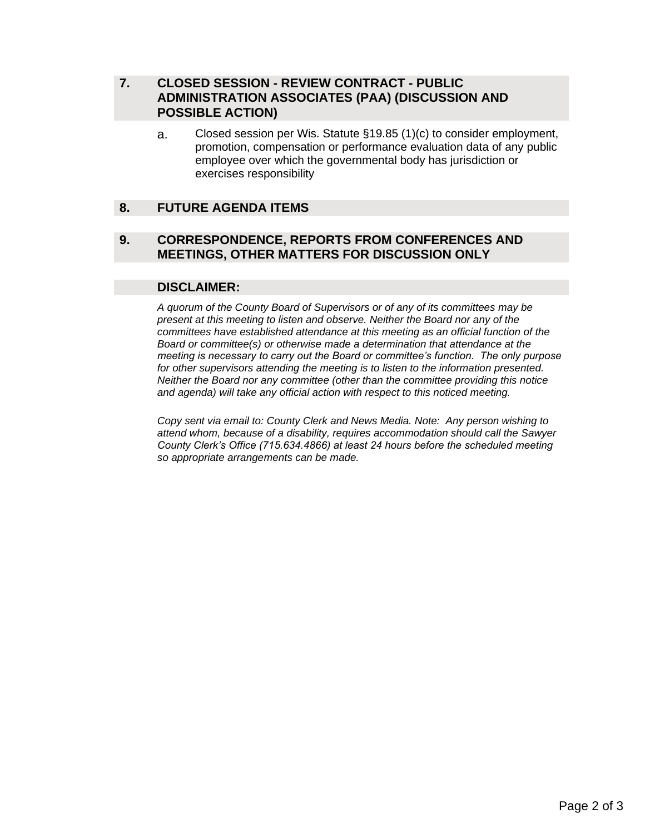# **7. CLOSED SESSION - REVIEW CONTRACT - PUBLIC ADMINISTRATION ASSOCIATES (PAA) (DISCUSSION AND POSSIBLE ACTION)**

a. Closed session per Wis. Statute §19.85 (1)(c) to consider employment, promotion, compensation or performance evaluation data of any public employee over which the governmental body has jurisdiction or exercises responsibility

# **8. FUTURE AGENDA ITEMS**

#### **9. CORRESPONDENCE, REPORTS FROM CONFERENCES AND MEETINGS, OTHER MATTERS FOR DISCUSSION ONLY**

#### **DISCLAIMER:**

*A quorum of the County Board of Supervisors or of any of its committees may be present at this meeting to listen and observe. Neither the Board nor any of the committees have established attendance at this meeting as an official function of the Board or committee(s) or otherwise made a determination that attendance at the meeting is necessary to carry out the Board or committee's function. The only purpose for other supervisors attending the meeting is to listen to the information presented. Neither the Board nor any committee (other than the committee providing this notice and agenda) will take any official action with respect to this noticed meeting.* 

*Copy sent via email to: County Clerk and News Media. Note: Any person wishing to attend whom, because of a disability, requires accommodation should call the Sawyer County Clerk's Office (715.634.4866) at least 24 hours before the scheduled meeting so appropriate arrangements can be made.*